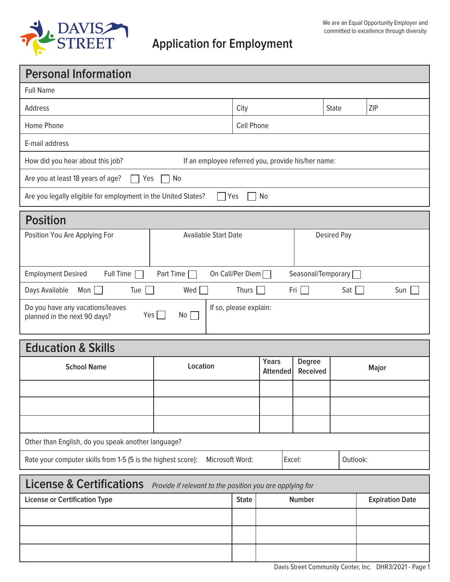

## Full Name Address City State ZIP Home Phone **Cell Phone** E-mail address How did you hear about this job? If an employee referred you, provide his/her name: Are you at least 18 years of age?  $\Box$  Yes  $\Box$  No Are you legally eligible for employment in the United States?  $\Box$  Yes  $\Box$  No **School Name Location Years Degree Major Attended Received** Other than English, do you speak another language? Rate your computer skills from 1-5 (5 is the highest score): Microsoft Word: | Excel: | Outlook: Position You Are Applying For Available Start Date Nostition You Are Applying For Available Start Date Applying Pay Employment Desired Full Time Part Time On Call/Per Diem Seasonal/Temporary Days Available Mon Tue Tue  $\Box$  Wed Thurs Thurs Fri Sat Stat Sun Tue Do you have any vacations/leaves  $Yes \Box No \Box$ If so, please explain: planned in the next 90 days?  **Personal Information Education & Skills License & Certifications** Provide if relevant to the position you are applying for  **Position**

**License or Certification Type State State State Number Expiration Date Constant Date Expiration Date**